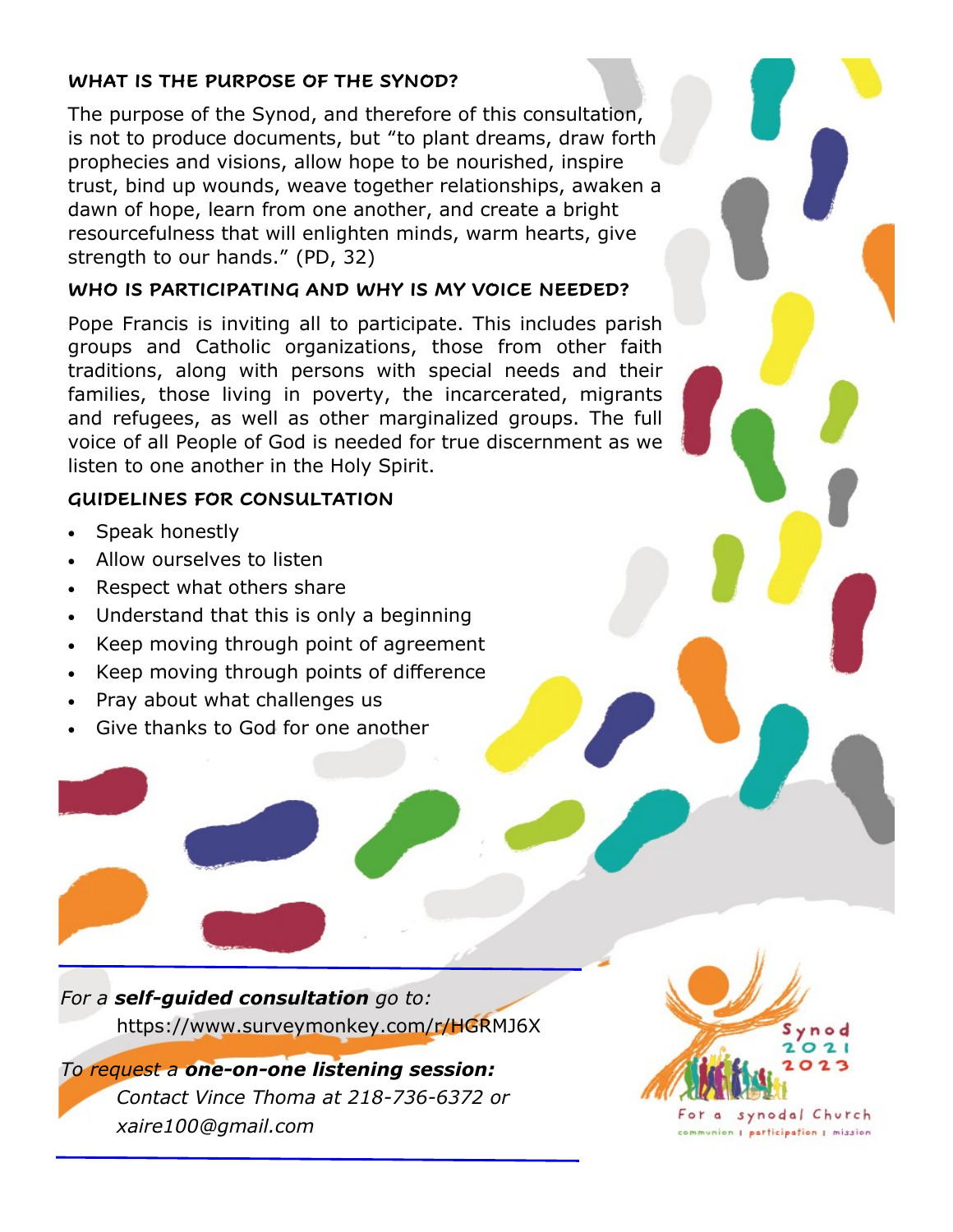## **WHAT IS THE PURPOSE OF THE SYNOD?**

The purpose of the Synod, and therefore of this consultation, is not to produce documents, but "to plant dreams, draw forth prophecies and visions, allow hope to be nourished, inspire trust, bind up wounds, weave together relationships, awaken a dawn of hope, learn from one another, and create a bright resourcefulness that will enlighten minds, warm hearts, give strength to our hands." (PD, 32)

## **WHO IS PARTICIPATING AND WHY IS MY VOICE NEEDED?**

Pope Francis is inviting all to participate. This includes parish groups and Catholic organizations, those from other faith traditions, along with persons with special needs and their families, those living in poverty, the incarcerated, migrants and refugees, as well as other marginalized groups. The full voice of all People of God is needed for true discernment as we listen to one another in the Holy Spirit.

## **GUIDELINES FOR CONSULTATION**

- Speak honestly
- Allow ourselves to listen
- Respect what others share
- Understand that this is only a beginning
- Keep moving through point of agreement
- Keep moving through points of difference
- Pray about what challenges us
- Give thanks to God for one another

*For a self-guided consultation go to:* https://www.surveymonkey.com/r/HGRMJ6X

*To request a one-on-one listening session: Contact Vince Thoma at 218-736-6372 or xaire100@gmail.com*



For a synodal Church communion | participation | mission